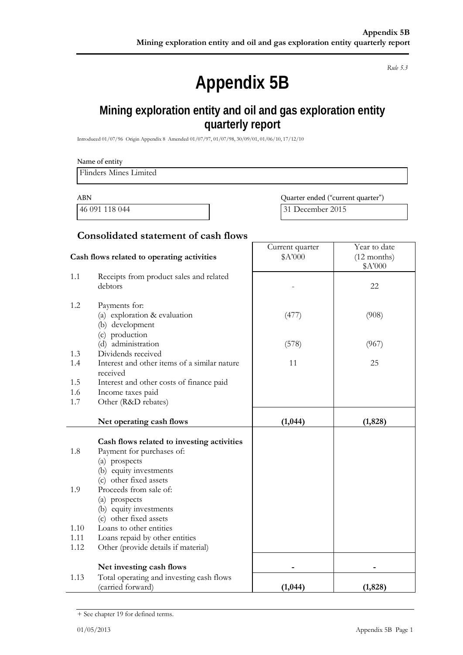*Rule 5.3*

# **Appendix 5B**

# **Mining exploration entity and oil and gas exploration entity quarterly report**

Introduced 01/07/96 Origin Appendix 8 Amended 01/07/97, 01/07/98, 30/09/01, 01/06/10, 17/12/10

| Name of entity         |  |
|------------------------|--|
| Flinders Mines Limited |  |
|                        |  |

ABN Quarter ended ("current quarter") 46 091 118 044 31 December 2015

## **Consolidated statement of cash flows**

|      | Cash flows related to operating activities                       | Current quarter<br>\$A'000 | Year to date<br>$(12$ months) |
|------|------------------------------------------------------------------|----------------------------|-------------------------------|
|      |                                                                  |                            | \$A'000                       |
| 1.1  | Receipts from product sales and related<br>debtors               |                            | 22                            |
| 1.2  | Payments for:<br>(a) exploration & evaluation<br>(b) development | (477)                      | (908)                         |
|      | (c) production<br>(d) administration                             | (578)                      | (967)                         |
| 1.3  | Dividends received                                               |                            |                               |
| 1.4  | Interest and other items of a similar nature<br>received         | 11                         | 25                            |
| 1.5  | Interest and other costs of finance paid                         |                            |                               |
| 1.6  | Income taxes paid                                                |                            |                               |
| 1.7  | Other (R&D rebates)                                              |                            |                               |
|      | Net operating cash flows                                         | (1,044)                    | (1, 828)                      |
|      |                                                                  |                            |                               |
|      | Cash flows related to investing activities                       |                            |                               |
| 1.8  | Payment for purchases of:                                        |                            |                               |
|      | (a) prospects                                                    |                            |                               |
|      | (b) equity investments                                           |                            |                               |
| 1.9  | (c) other fixed assets<br>Proceeds from sale of:                 |                            |                               |
|      | (a) prospects                                                    |                            |                               |
|      | (b) equity investments                                           |                            |                               |
|      | (c) other fixed assets                                           |                            |                               |
| 1.10 | Loans to other entities                                          |                            |                               |
| 1.11 | Loans repaid by other entities                                   |                            |                               |
| 1.12 | Other (provide details if material)                              |                            |                               |
|      | Net investing cash flows                                         |                            |                               |
| 1.13 | Total operating and investing cash flows                         |                            |                               |
|      | (carried forward)                                                | (1,044)                    | (1, 828)                      |

<sup>+</sup> See chapter 19 for defined terms.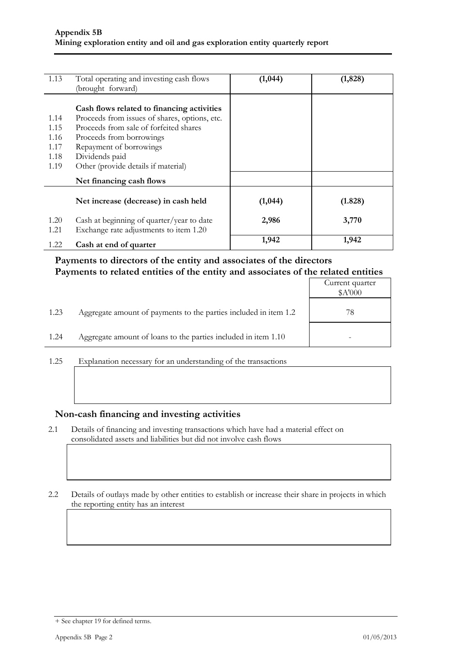| 1.13                                                                                                                                                                                                                                                                                                  | Total operating and investing cash flows<br>(brought forward)                       | (1,044) | (1, 828) |
|-------------------------------------------------------------------------------------------------------------------------------------------------------------------------------------------------------------------------------------------------------------------------------------------------------|-------------------------------------------------------------------------------------|---------|----------|
| Cash flows related to financing activities<br>Proceeds from issues of shares, options, etc.<br>1.14<br>Proceeds from sale of forfeited shares<br>1.15<br>1.16<br>Proceeds from borrowings<br>Repayment of borrowings<br>1.17<br>Dividends paid<br>1.18<br>Other (provide details if material)<br>1.19 |                                                                                     |         |          |
|                                                                                                                                                                                                                                                                                                       | Net financing cash flows                                                            |         |          |
|                                                                                                                                                                                                                                                                                                       | Net increase (decrease) in cash held                                                | (1,044) | (1.828)  |
| 1.20<br>1.21                                                                                                                                                                                                                                                                                          | Cash at beginning of quarter/year to date<br>Exchange rate adjustments to item 1.20 | 2,986   | 3,770    |
| 1.22                                                                                                                                                                                                                                                                                                  | Cash at end of quarter                                                              | 1,942   | 1,942    |

## **Payments to directors of the entity and associates of the directors Payments to related entities of the entity and associates of the related entities**

|      |                                                                  | Current quarter<br>\$A'000 |
|------|------------------------------------------------------------------|----------------------------|
| 1.23 | Aggregate amount of payments to the parties included in item 1.2 | 78                         |
| 1.24 | Aggregate amount of loans to the parties included in item 1.10   |                            |

1.25 Explanation necessary for an understanding of the transactions

#### **Non-cash financing and investing activities**

- 2.1 Details of financing and investing transactions which have had a material effect on consolidated assets and liabilities but did not involve cash flows
- 2.2 Details of outlays made by other entities to establish or increase their share in projects in which the reporting entity has an interest

<sup>+</sup> See chapter 19 for defined terms.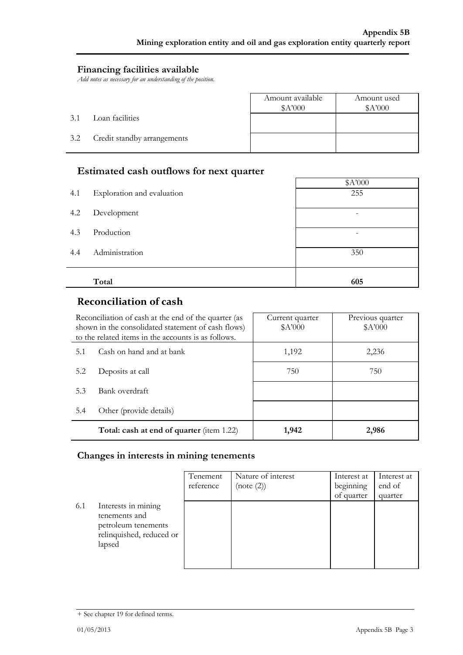### **Financing facilities available**

*Add notes as necessary for an understanding of the position.*

|     |                             | Amount available<br>A'000 | Amount used<br>\$A'000 |
|-----|-----------------------------|---------------------------|------------------------|
| 3.1 | Loan facilities             |                           |                        |
| 3.2 | Credit standby arrangements |                           |                        |

# **Estimated cash outflows for next quarter**

|     |                            | A'000                    |
|-----|----------------------------|--------------------------|
| 4.1 | Exploration and evaluation | 255                      |
| 4.2 | Development                | $\overline{\phantom{0}}$ |
| 4.3 | Production                 |                          |
| 4.4 | Administration             | 350                      |
|     | Total                      | 605                      |
|     |                            |                          |

# **Reconciliation of cash**

|                                | Reconciliation of cash at the end of the quarter (as<br>shown in the consolidated statement of cash flows)<br>to the related items in the accounts is as follows. | Current quarter<br>\$A'000 | Previous quarter<br>\$A'000 |
|--------------------------------|-------------------------------------------------------------------------------------------------------------------------------------------------------------------|----------------------------|-----------------------------|
| 5.1                            | Cash on hand and at bank                                                                                                                                          | 1,192                      | 2,236                       |
| 5.2                            | Deposits at call                                                                                                                                                  | 750                        | 750                         |
| Bank overdraft<br>5.3          |                                                                                                                                                                   |                            |                             |
| Other (provide details)<br>5.4 |                                                                                                                                                                   |                            |                             |
|                                | Total: cash at end of quarter (item 1.22)                                                                                                                         | 1,942                      | 2,986                       |

### **Changes in interests in mining tenements**

|     |                                                                                                   | Tenement<br>reference | Nature of interest<br>(note (2)) | Interest at<br>beginning<br>of quarter | Interest at<br>end of<br>quarter |
|-----|---------------------------------------------------------------------------------------------------|-----------------------|----------------------------------|----------------------------------------|----------------------------------|
| 6.1 | Interests in mining<br>tenements and<br>petroleum tenements<br>relinquished, reduced or<br>lapsed |                       |                                  |                                        |                                  |

<sup>+</sup> See chapter 19 for defined terms.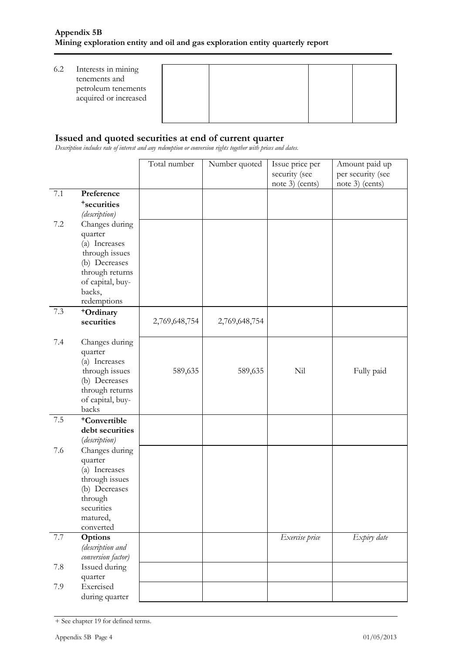| 6.2 | Interests in mining<br>tenements and<br>petroleum tenements<br>acquired or increased |  |  |
|-----|--------------------------------------------------------------------------------------|--|--|
|     |                                                                                      |  |  |

### **Issued and quoted securities at end of current quarter**

*Description includes rate of interest and any redemption or conversion rights together with prices and dates.*

|         |                          | Total number  | Number quoted | Issue price per | Amount paid up    |
|---------|--------------------------|---------------|---------------|-----------------|-------------------|
|         |                          |               |               | security (see   | per security (see |
|         |                          |               |               | note 3) (cents) | note 3) (cents)   |
| $7.1\,$ | Preference               |               |               |                 |                   |
|         | <sup>+</sup> securities  |               |               |                 |                   |
|         | (description)            |               |               |                 |                   |
| $7.2\,$ | Changes during           |               |               |                 |                   |
|         | quarter                  |               |               |                 |                   |
|         | (a) Increases            |               |               |                 |                   |
|         | through issues           |               |               |                 |                   |
|         | (b) Decreases            |               |               |                 |                   |
|         | through returns          |               |               |                 |                   |
|         | of capital, buy-         |               |               |                 |                   |
|         | backs,                   |               |               |                 |                   |
|         | redemptions              |               |               |                 |                   |
| 7.3     | <sup>+</sup> Ordinary    | 2,769,648,754 | 2,769,648,754 |                 |                   |
|         | securities               |               |               |                 |                   |
| 7.4     | Changes during           |               |               |                 |                   |
|         | quarter                  |               |               |                 |                   |
|         | (a) Increases            |               |               |                 |                   |
|         | through issues           | 589,635       | 589,635       | Nil             | Fully paid        |
|         | (b) Decreases            |               |               |                 |                   |
|         | through returns          |               |               |                 |                   |
|         | of capital, buy-         |               |               |                 |                   |
|         | backs                    |               |               |                 |                   |
| $7.5\,$ | <sup>+</sup> Convertible |               |               |                 |                   |
|         | debt securities          |               |               |                 |                   |
|         | (description)            |               |               |                 |                   |
| 7.6     | Changes during           |               |               |                 |                   |
|         | quarter                  |               |               |                 |                   |
|         | (a) Increases            |               |               |                 |                   |
|         | through issues           |               |               |                 |                   |
|         | (b) Decreases            |               |               |                 |                   |
|         | through                  |               |               |                 |                   |
|         | securities<br>matured,   |               |               |                 |                   |
|         | converted                |               |               |                 |                   |
| 7.7     | <b>Options</b>           |               |               | Exercise price  | Expiry date       |
|         | (description and         |               |               |                 |                   |
|         | conversion factor)       |               |               |                 |                   |
| 7.8     | Issued during            |               |               |                 |                   |
|         | quarter                  |               |               |                 |                   |
| 7.9     | Exercised                |               |               |                 |                   |
|         | during quarter           |               |               |                 |                   |

<sup>+</sup> See chapter 19 for defined terms.